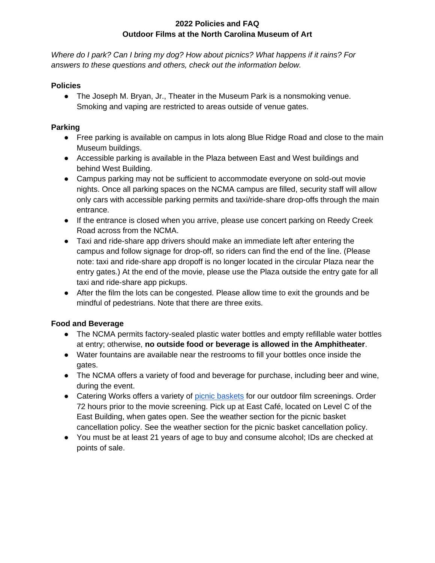# **2022 Policies and FAQ Outdoor Films at the North Carolina Museum of Art**

*Where do I park? Can I bring my dog? How about picnics? What happens if it rains? For answers to these questions and others, check out the information below.* 

### **Policies**

• The Joseph M. Bryan, Jr., Theater in the Museum Park is a nonsmoking venue. Smoking and vaping are restricted to areas outside of venue gates.

### **Parking**

- Free parking is available on campus in lots along Blue Ridge Road and close to the main Museum buildings.
- Accessible parking is available in the Plaza between East and West buildings and behind West Building.
- Campus parking may not be sufficient to accommodate everyone on sold-out movie nights. Once all parking spaces on the NCMA campus are filled, security staff will allow only cars with accessible parking permits and taxi/ride-share drop-offs through the main entrance.
- If the entrance is closed when you arrive, please use concert parking on Reedy Creek Road across from the NCMA.
- Taxi and ride-share app drivers should make an immediate left after entering the campus and follow signage for drop-off, so riders can find the end of the line. (Please note: taxi and ride-share app dropoff is no longer located in the circular Plaza near the entry gates.) At the end of the movie, please use the Plaza outside the entry gate for all taxi and ride-share app pickups.
- After the film the lots can be congested. Please allow time to exit the grounds and be mindful of pedestrians. Note that there are three exits.

# **Food and Beverage**

- The NCMA permits factory-sealed plastic water bottles and empty refillable water bottles at entry; otherwise, **no outside food or beverage is allowed in the Amphitheater**.
- Water fountains are available near the restrooms to fill your bottles once inside the gates.
- The NCMA offers a variety of food and beverage for purchase, including beer and wine, during the event.
- Catering Works offers a variety of [picnic baskets](https://catering-works-at-the-north-carolina-museum.myshopify.com/collections/concerts-events) for our outdoor film screenings. Order 72 hours prior to the movie screening. Pick up at East Café, located on Level C of the East Building, when gates open. See the weather section for the picnic basket cancellation policy. See the weather section for the picnic basket cancellation policy.
- You must be at least 21 years of age to buy and consume alcohol; IDs are checked at points of sale.